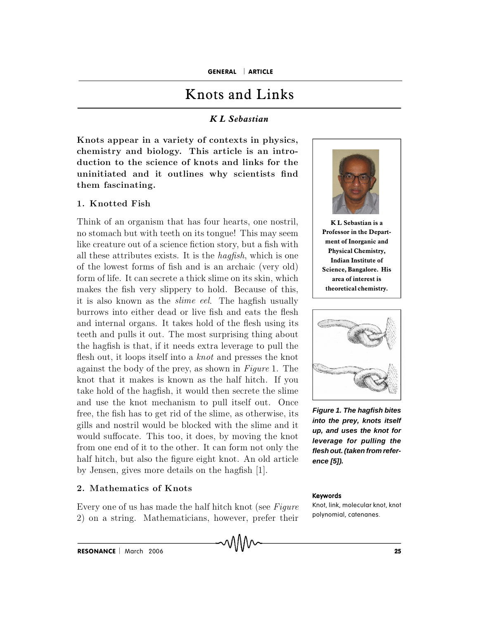# Knots and Links

## *K LSebastian*

Knots appear in a variety of contexts in physics, **ch em istry a n d b io lo g y. T h is a rticle is a n in tro**  duction to the science of knots and links for the  $i$  **uninitiated** and it outlines why scientists find  $t$ **hem** fascinating.

## **1 . K n o tted F ish**

Think of an organism that has four hearts, one nostril, no stomach but with teeth on its tongue! This may seem like creature out of a science fiction story, but a fish with all these attributes exists. It is the *hagfish*, which is one of the lowest forms of fish and is an archaic (very old) form of life. It can secrete a thick slime on its skin, which makes the fish very slippery to hold. Because of this, it is also known as the *slime eel*. The hagfish usually burrows into either dead or live fish and eats the flesh and internal organs. It takes hold of the flesh using its teeth and pulls it out. The most surprising thing about the hagfish is that, if it needs extra leverage to pull the flesh out, it loops itself into a *knot* and presses the knot against the body of the prey, as shown in Figure 1. The knot that it makes is known as the half hitch. If you take hold of the hagfish, it would then secrete the slime and use the knot mechanism to pull itself out. Once free, the fish has to get rid of the slime, as otherwise, its gills and nostril would be blocked with the slime and it would suffocate. This too, it does, by moving the knot from one end of it to the other. It can form not only the half hitch, but also the figure eight knot. An old article by Jensen, gives more details on the hagfish [1].

#### **2 . M a th em a tics o f K n o ts**

Every one of us has made the half hitch knot (see Figure 2) on a string. Mathematicians, however, prefer their



**K L Sebastian isa Professor in the Depart ment of Inorganic and Physical Chemistry, Indian Institute of Science, Bangalore. His area of interest is theoretical chemistry.**



**Figure 1. The hagfish bites into the prey, knots itself up, and uses the knot for leverage for pulling the flesh out.(taken from refer ence [5]).**

#### Keywords

Knot, link, molecular knot, knot polynomial, catenanes.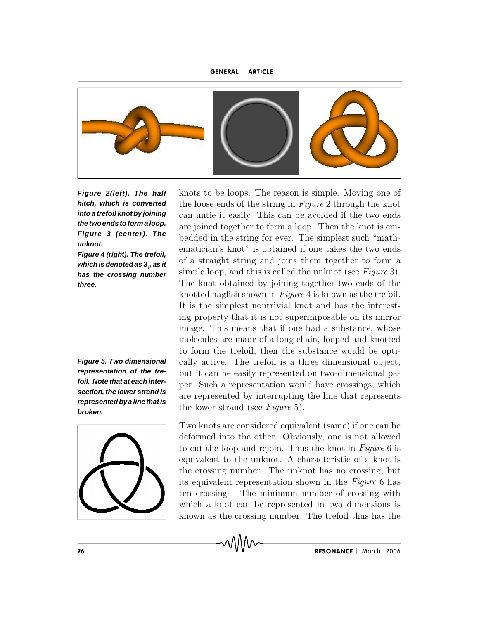#### GENERAL | ARTICLE



**Figure 2(left). The half hitch, which is converted into a trefoil knot by joining the twoends toform a loop. Figure 3 (center). The unknot.**

**Figure 4 (right). The trefoil,** *which is denoted as 3<sub>1</sub>, as it* **has the crossing number three.**

**Figure 5. Two dimensional representation of the trefoil. Note that at each inter section, the lower strand is representedbya linethatis broken.**



knots to be loops. The reason is simple. Moving one of the loose ends of the string in Figure 2 through the knot can untie it easily. This can be avoided if the two ends are joined together to form a loop. Then the knot is embedded in the string for ever. The simplest such "mathematician's knot" is obtained if one takes the two ends of a straight string and joins them together to form a simple loop, and this is called the unknot (see  $Figure 3$ ). The knot obtained by joining together two ends of the knotted hagfish shown in  $Figure 4$  is known as the trefoil. It is the simplest nontrivial knot and has the interesting property that it is not superimposable on its mirror image. This means that if one had a substance, whose m olecules are m ade of a long chain, looped and knotted to form the trefoil, then the substance would be optically active. The trefoil is a three dimensional object, but it can be easily represented on two-dimensional paper. Such a representation would have crossings, which are represented by interrupting the line that represents the lower strand (see Figure 5).

Two knots are considered equivalent (same) if one can be deformed into the other. Obviously, one is not allowed to cut the loop and rejoin. Thus the knot in Figure 6 is equivalent to the unknot. A characteristic of a knot is the crossing number. The unknot has no crossing, but its equivalent representation shown in the Figure 6 has ten crossings. The minimum number of crossing with which a knot can be represented in two dimensions is known as the crossing number. The trefoil thus has the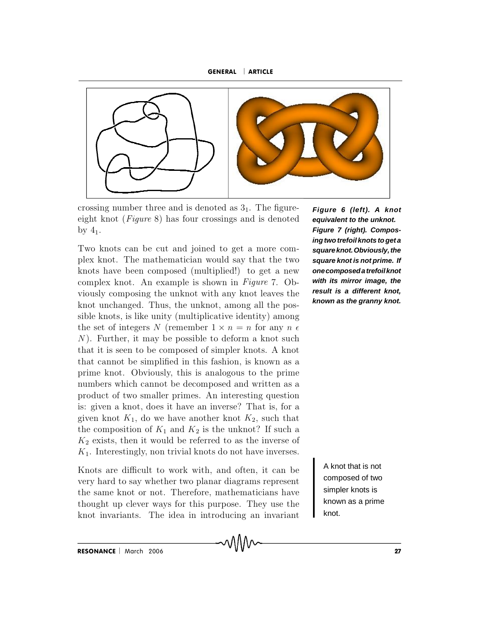



crossing number three and is denoted as  $3<sub>1</sub>$ . The figureeight knot (*Figure* 8) has four crossings and is denoted by  $4_1$ .

Two knots can be cut and joined to get a more complex knot. The mathematician would say that the two knots have been composed (multiplied!) to get a new complex knot. An example is shown in Figure 7. Obviously composing the unknot with any knot leaves the knot unchanged. Thus, the unknot, among all the possible knots, is like unity (multiplicative identity) among the set of integers N (remember  $1 \times n = n$  for any  $n \in$  $N$ ). Further, it may be possible to deform a knot such that it is seen to be composed of simpler knots. A knot that cannot be simplified in this fashion, is known as a prime knot. Obviously, this is analogous to the prime numbers which cannot be decomposed and written as a product of two smaller primes. An interesting question is: given a knot, does it have an inverse? That is, for a given knot  $K_1$ , do we have another knot  $K_2$ , such that the composition of  $K_1$  and  $K_2$  is the unknot? If such a  $K_2$  exists, then it would be referred to as the inverse of  $K<sub>1</sub>$ . Interestingly, non trivial knots do not have inverses.

Knots are difficult to work with, and often, it can be very hard to say whether two planar diagrams represent the same knot or not. Therefore, mathematicians have thought up clever ways for this purpose. They use the knot invariants. The idea in introducing an invariant

**Figure 6 (left). A knot equivalent to the unknot. Figure 7 (right). Composingtwotrefoil knots toget a squareknot.Obviously,the square knot is not prime. If onecomposedatrefoilknot with its mirror image, the result is a different knot, known as the granny knot.**

> A knot that is not composed of two simpler knots is known as a prime knot.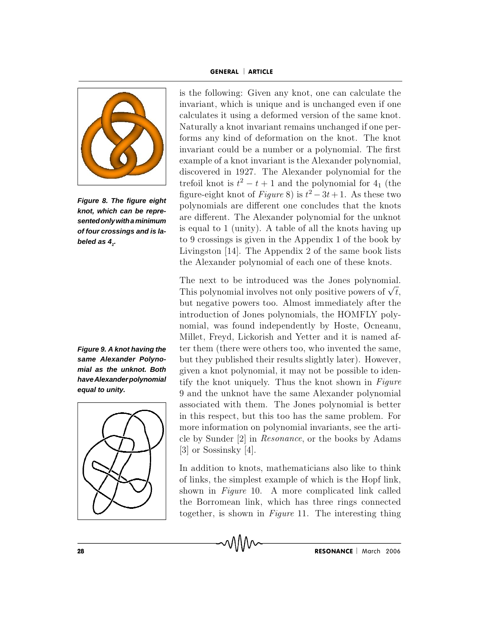

**Figure 8. The figure eight knot, which can be repre sentedonlywithaminimum of four crossings and is la beled as 4<sup>1</sup> .**

**Figure 9. A knot having the same Alexander Polyno mial as the unknot. Both haveAlexanderpolynomial equal to unity.**



is the following: Given any knot, one can calculate the invariant, which is unique and is unchanged even if one calculates it using a deformed version of the same knot. Naturally a knot invariant remains unchanged if one performs any kind of deformation on the knot. The knot invariant could be a number or a polynomial. The first example of a knot invariant is the A lexander polynomial, discovered in 1927. The Alexander polynomial for the trefoil knot is  $t^2 - t + 1$  and the polynomial for  $4<sub>1</sub>$  (the figure-eight knot of *Figure* 8) is  $t^2 - 3t + 1$ . As these two polynomials are different one concludes that the knots are different. The Alexander polynomial for the unknot is equal to 1 (unity). A table of all the knots having up to 9 crossings is given in the Appendix 1 of the book by Livingston  $[14]$ . The Appendix 2 of the same book lists the Alexander polynomial of each one of these knots.

The next to be introduced was the Jones polynomial. The next to be introduced was the Jones polynomial.<br>This polynomial involves not only positive powers of  $\sqrt{t}$ . but negative powers too. Almost immediately after the introduction of Jones polynomials, the HOMFLY polynomial, was found independently by Hoste, Ocneanu, Millet, Freyd, Lickorish and Yetter and it is named after them (there were others too, who invented the same, but they published their results slightly later). However, given a knot polynomial, it may not be possible to identify the knot uniquely. Thus the knot shown in  $Figure$ 9 and the unknot have the same A lexander polynomial associated with them. The Jones polynomial is better in this respect, but this too has the same problem. For m ore information on polynomial invariants, see the article by Sunder  $[2]$  in *Resonance*, or the books by Adams [3] or Sossinsky [4].

In addition to knots, mathematicians also like to think of links, the simplest example of which is the Hopf link, shown in Figure 10. A more complicated link called the Borromean link, which has three rings connected together, is shown in Figure 11. The interesting thing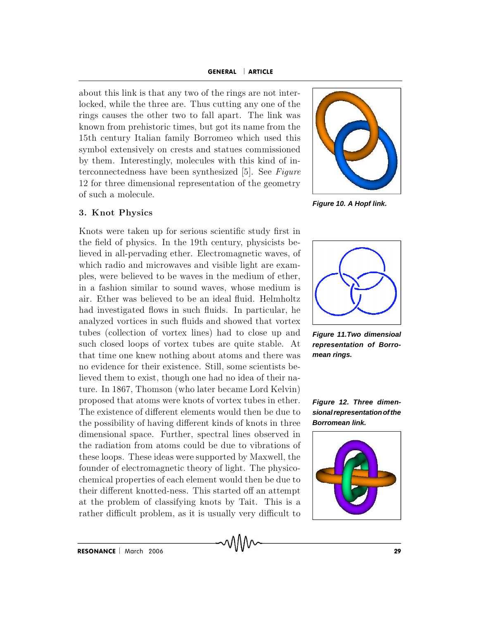about this link is that any two of the rings are not interlocked, while the three are. Thus cutting any one of the rings causes the other two to fall apart. The link was known from prehistoric times, but got its name from the 15th century Italian family Borromeo which used this symbol extensively on crests and statues commissioned by them. Interestingly, molecules with this kind of interconnectedness have been synthesized  $[5]$ . See Figure 12 for three dimensional representation of the geometry of such a m olecule.

## **3 . K n o t P h y sics**

Knots were taken up for serious scientific study first in the field of physics. In the 19th century, physicists believed in all-pervading ether. Electromagnetic waves, of which radio and microwaves and visible light are examples, were believed to be waves in the medium of ether, in a fashion similar to sound waves, whose medium is air. Ether was believed to be an ideal fluid. Helmholtz had investigated flows in such fluids. In particular, he analyzed vortices in such fluids and showed that vortex tubes (collection of vortex lines) had to close up and such closed loops of vortex tubes are quite stable. At that time one knew nothing about atoms and there was no evidence for their existence. Still, some scientists believed them to exist, though one had no idea of their nature. In 1867, Thomson (who later became Lord Kelvin) proposed that atoms were knots of vortex tubes in ether. The existence of different elements would then be due to the possibility of having different kinds of knots in three dimensional space. Further, spectral lines observed in the radiation from atoms could be due to vibrations of these loops. These ideas were supported by Maxwell, the founder of electromagnetic theory of light. The physicochemical properties of each element would then be due to their different knotted-ness. This started off an attempt at the problem of classifying knots by Tait. This is a rather difficult problem, as it is usually very difficult to



**Figure 10. A Hopf link.**



**Figure 11.Two dimensioal representation of Borro mean rings.**

**Figure 12.Three dimen sionalrepresentationofthe Borromean link.**

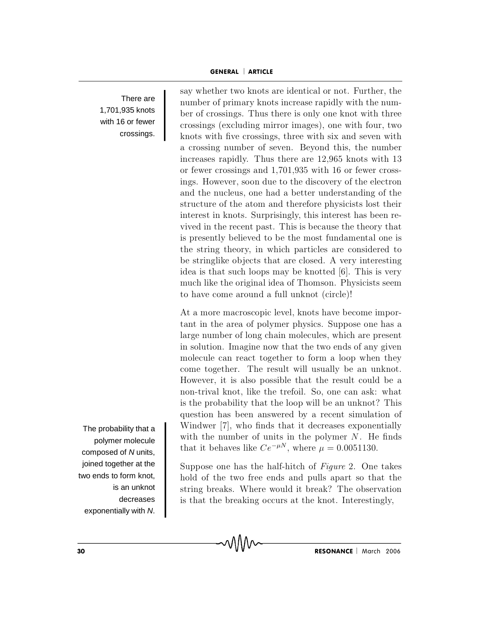#### GENERAL ARTICLE

There are 1,701,935 knots with 16 or fewer crossings.

say whether two knots are identical or not. Further, the number of primary knots increase rapidly with the number of crossings. Thus there is only one knot with three crossings (excluding mirror images), one with four, two knots with five crossings, three with six and seven with a crossing number of seven. Beyond this, the number increases rapidly. Thus there are 12,965 knots with 13 or fewer crossings and 1,701,935 with 16 or fewer crossings. However, soon due to the discovery of the electron and the nucleus, one had a better understanding of the structure of the atom and therefore physicists lost their interest in knots. Surprisingly, this interest has been revived in the recent past. This is because the theory that is presently believed to be the most fundamental one is the string theory, in w hich particles are considered to be stringlike ob jects that are closed. A very interesting idea is that such loops may be knotted  $[6]$ . This is very much like the original idea of Thomson. Physicists seem to have come around a full unknot (circle)!

At a more macroscopic level, knots have become important in the area of polymer physics. Suppose one has a large number of long chain molecules, which are present in solution. Imagine now that the two ends of any given molecule can react together to form a loop when they come together. The result will usually be an unknot. However, it is also possible that the result could be a non-trival knot, like the trefoil. So, one can ask: what is the probability that the loop will be an unknot? This question has been answered by a recent simulation of Windwer [7], who finds that it decreases exponentially with the number of units in the polymer  $N$ . He finds that it behaves like  $Ce^{-\mu N}$ , where  $\mu = 0.0051130$ .

Suppose one has the half-hitch of  $Figure 2$ . One takes hold of the two free ends and pulls apart so that the string breaks. Where would it break? The observation is that the breaking occurs at the knot. Interestingly,

The probability that a polymer molecule composed of N units, joined together at the two ends to form knot, is an unknot decreases exponentially with N.

<sup>30</sup> RESONANCE March <sup>2006</sup>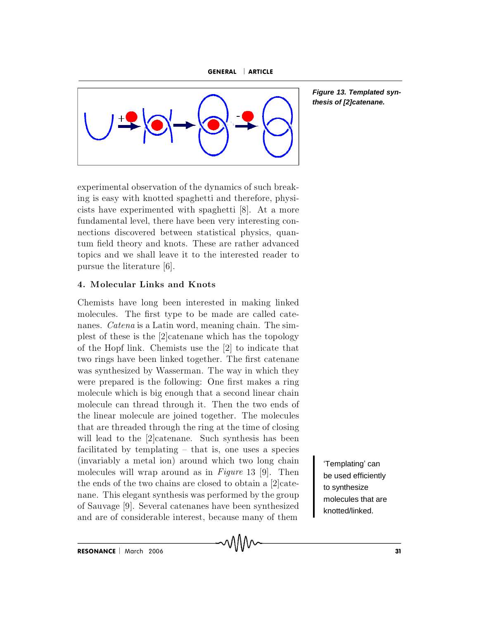



**Figure 13. Templated synthesis of [2]catenane.**

experimental observation of the dynamics of such breaking is easy w ith knotted spaghetti and therefore, physicists have experimented with spaghetti [8]. At a more fundamental level, there have been very interesting connections discovered between statistical physics, quantum field theory and knots. These are rather advanced topics and we shall leave it to the interested reader to pursue the literature [6].

## **4 . M o lecu la r L in k s a n d K n o ts**

Chemists have long been interested in making linked molecules. The first type to be made are called catenanes. *Catena* is a Latin word, meaning chain. The simplest of these is the  $[2]$ catenane which has the topology of the Hopf link. Chemists use the  $[2]$  to indicate that two rings have been linked together. The first catenane was synthesized by Wasserman. The way in which they were prepared is the following: One first makes a ring molecule which is big enough that a second linear chain molecule can thread through it. Then the two ends of the linear molecule are joined together. The molecules that are threaded through the ring at the time of closing will lead to the  $[2]$ catenane. Such synthesis has been facilitated by templating  $-$  that is, one uses a species (invariably a metal ion) around which two long chain molecules will wrap around as in Figure 13 [9]. Then the ends of the two chains are closed to obtain a  $[2]$ catenane. This elegant synthesis was performed by the group of Sauvage [9]. Several catenanes have been synthesized and are of considerable interest, because many of them

'Templating' can be used efficiently to synthesize molecules that are knotted/linked.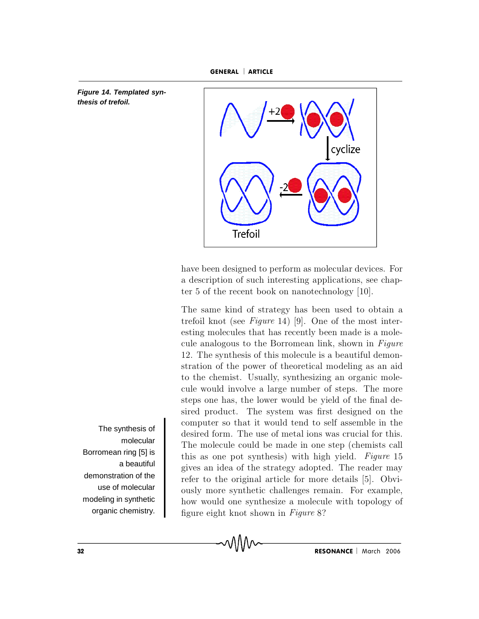**Figure 14. Templated synthesis of trefoil.**



have been designed to perform as molecular devices. For a description of such interesting applications, see chapter 5 of the recent book on nanotechnology [10].

The same kind of strategy has been used to obtain a trefoil knot (see Figure 14) [9]. One of the most interesting molecules that has recently been made is a molecule analogous to the Borromean link, shown in  $Figure$ 12. The synthesis of this molecule is a beautiful demonstration of the power of theoretical modeling as an aid to the chemist. Usually, synthesizing an organic molecule would involve a large number of steps. The more steps one has, the lower would be yield of the final desired product. The system was first designed on the computer so that it would tend to self assemble in the desired form. The use of metal ions was crucial for this. The molecule could be made in one step (chemists call this as one pot synthesis) with high yield. Figure  $15$ gives an idea of the strategy adopted. The reader may refer to the original article for more details [5]. Obviously more synthetic challenges remain. For example, how would one synthesize a molecule with topology of figure eight knot shown in  $Figure 8$ ?

The synthesis of molecular Borromean ring [5] is a beautiful demonstration of the use of molecular modeling in synthetic organic chemistry.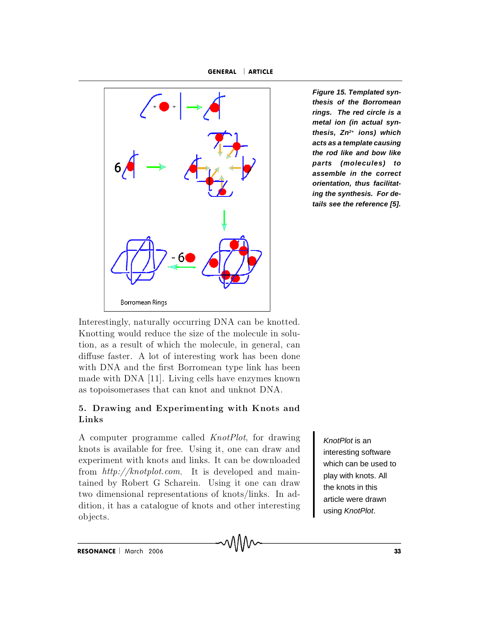GENERAL | ARTICLE



**Figure 15. Templated synthesis of the Borromean rings. The red circle is a metal ion (in actual synthesis, Zn 2+ ions) which acts as a template causing the rod like and bow like parts (molecules) to assemble in the correct orientation, thus facilitating the synthesis. For details see the reference [5].**

Interestingly, naturally occurring DNA can be knotted. K notting would reduce the size of the molecule in solution, as a result of which the molecule, in general, can diffuse faster. A lot of interesting work has been done with DNA and the first Borromean type link has been made with DNA [11]. Living cells have enzymes known as topoisomerases that can knot and unknot DNA.

## 5. Drawing and Experimenting with Knots and  $Links$

A computer programme called *KnotPlot*, for drawing knots is available for free. Using it, one can draw and experiment with knots and links. It can be downloaded from  $http://knotplot.com$  $http://knotplot.com$ . It is developed and maintained by Robert G Scharein. Using it one can draw two dimensional representations of knots/links. In addition, it has a catalogue of knots and other interesting ob jects.

KnotPlot is an interesting software which can be used to play with knots. All the knots in this article were drawn using KnotPlot.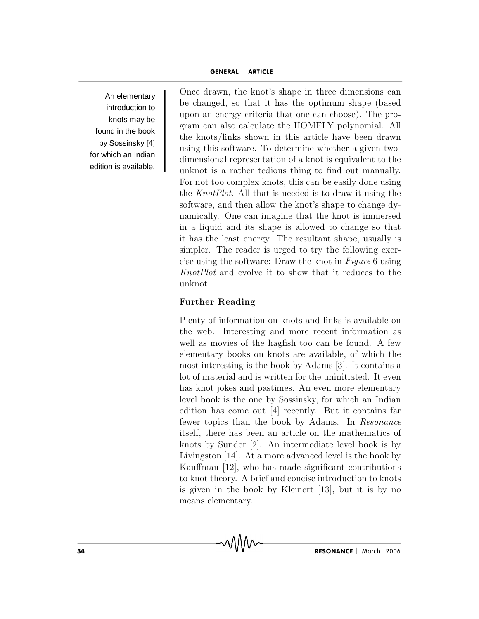An elementary introduction to knots may be found in the book by Sossinsky [4] for which an Indian edition is available.

Once drawn, the knot's shape in three dimensions can be changed, so that it has the optimum shape (based upon an energy criteria that one can choose). The program can also calculate the HOMFLY polynomial. All the knots/links shown in this article have been drawn using this software. To determine whether a given twodimensional representation of a knot is equivalent to the unknot is a rather tedious thing to find out manually. For not too complex knots, this can be easily done using the  $KnotPlot$ . All that is needed is to draw it using the software, and then allow the knot's shape to change dynamically. One can imagine that the knot is immersed in a liquid and its shape is allowed to change so that it has the least energy. The resultant shape, usually is simpler. The reader is urged to try the following exercise using the software: Draw the knot in  $Figure 6$  using KnotPlot and evolve it to show that it reduces to the unknot.

## $Further Reading$

P lenty of information on knots and links is available on the web. Interesting and more recent information as well as movies of the hagfish too can be found. A few elementary books on knots are available, of which the most interesting is the book by Adams [3]. It contains a lot of material and is written for the uninitiated. It even has knot jokes and pastimes. An even more elementary level book is the one by Sossinsky, for which an Indian edition has come out  $[4]$  recently. But it contains far fewer topics than the book by Adams. In Resonance itself, there has been an article on the mathematics of knots by Sunder  $[2]$ . An intermediate level book is by Livingston  $[14]$ . At a more advanced level is the book by Kauffman  $[12]$ , who has made significant contributions to knot theory. A briefand concise introduction to knots is given in the book by K leinert  $[13]$ , but it is by no means elementary.